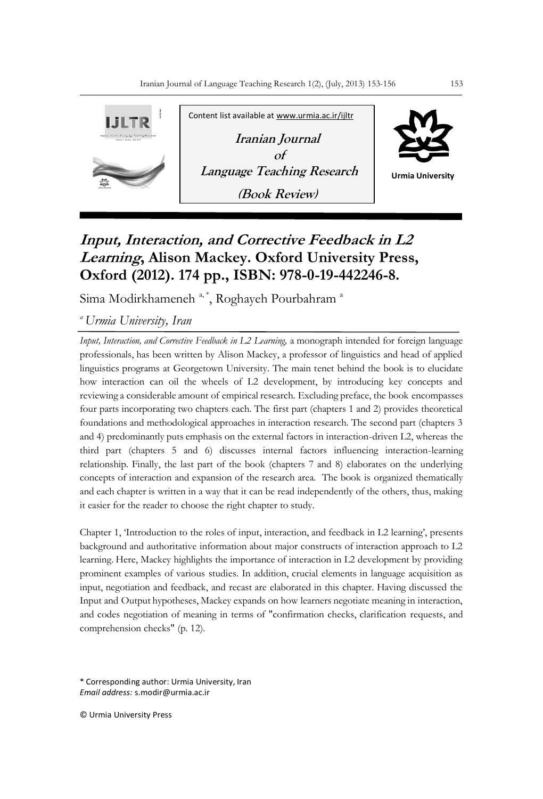

## **Input, Interaction, and Corrective Feedback in L2 Learning, Alison Mackey. Oxford University Press, Oxford (2012). 174 pp., ISBN: 978-0-19-442246-8.**

Sima Modirkhameneh<sup>a,\*</sup>, Roghayeh Pourbahram<sup>a</sup>

*<sup>a</sup>Urmia University, Iran*

*Input, Interaction, and Corrective Feedback in L2 Learning,* a monograph intended for foreign language professionals, has been written by Alison Mackey, a professor of linguistics and head of applied linguistics programs at Georgetown University. The main tenet behind the book is to elucidate how interaction can oil the wheels of L2 development, by introducing key concepts and reviewing a considerable amount of empirical research. Excluding preface, the book encompasses four parts incorporating two chapters each. The first part (chapters 1 and 2) provides theoretical foundations and methodological approaches in interaction research. The second part (chapters 3 and 4) predominantly puts emphasis on the external factors in interaction-driven L2, whereas the third part (chapters 5 and 6) discusses internal factors influencing interaction-learning relationship. Finally, the last part of the book (chapters 7 and 8) elaborates on the underlying concepts of interaction and expansion of the research area. The book is organized thematically and each chapter is written in a way that it can be read independently of the others, thus, making it easier for the reader to choose the right chapter to study.

Chapter 1, 'Introduction to the roles of input, interaction, and feedback in L2 learning', presents background and authoritative information about major constructs of interaction approach to L2 learning. Here, Mackey highlights the importance of interaction in L2 development by providing prominent examples of various studies. In addition, crucial elements in language acquisition as input, negotiation and feedback, and recast are elaborated in this chapter. Having discussed the Input and Output hypotheses, Mackey expands on how learners negotiate meaning in interaction, and codes negotiation of meaning in terms of "confirmation checks, clarification requests, and comprehension checks" (p. 12)*.*

\* Corresponding author: Urmia University, Iran *Email address:* s.modir@urmia.ac.ir

© Urmia University Press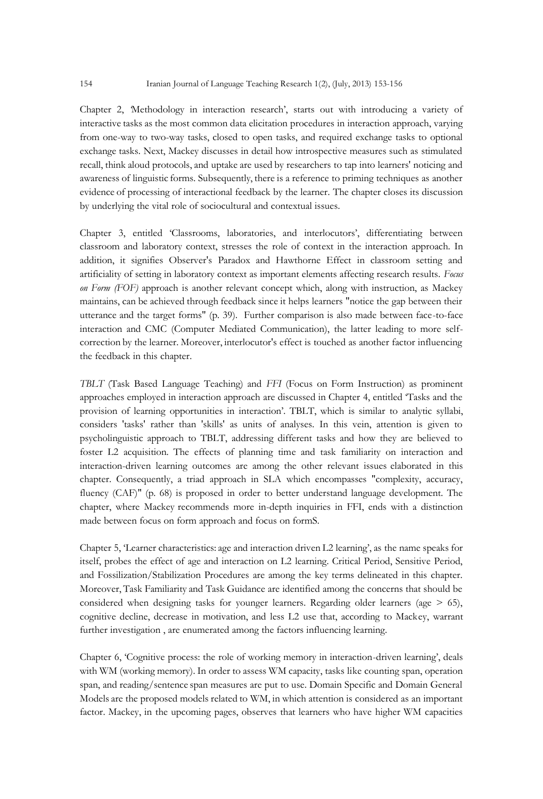Chapter 2, *'*Methodology in interaction research', starts out with introducing a variety of interactive tasks as the most common data elicitation procedures in interaction approach, varying from one-way to two-way tasks, closed to open tasks, and required exchange tasks to optional exchange tasks. Next, Mackey discusses in detail how introspective measures such as stimulated recall, think aloud protocols, and uptake are used by researchers to tap into learners' noticing and awareness of linguistic forms. Subsequently, there is a reference to priming techniques as another evidence of processing of interactional feedback by the learner. The chapter closes its discussion by underlying the vital role of sociocultural and contextual issues.

Chapter 3, entitled 'Classrooms, laboratories, and interlocutors', differentiating between classroom and laboratory context, stresses the role of context in the interaction approach. In addition, it signifies Observer's Paradox and Hawthorne Effect in classroom setting and artificiality of setting in laboratory context as important elements affecting research results. *Focus on Form (FOF)* approach is another relevant concept which, along with instruction, as Mackey maintains, can be achieved through feedback since it helps learners "notice the gap between their utterance and the target forms" (p. 39). Further comparison is also made between face-to-face interaction and CMC (Computer Mediated Communication), the latter leading to more selfcorrection by the learner. Moreover, interlocutor's effect is touched as another factor influencing the feedback in this chapter.

*TBLT* (Task Based Language Teaching) and *FFI* (Focus on Form Instruction) as prominent approaches employed in interaction approach are discussed in Chapter 4, entitled 'Tasks and the provision of learning opportunities in interaction'. TBLT, which is similar to analytic syllabi, considers 'tasks' rather than 'skills' as units of analyses. In this vein, attention is given to psycholinguistic approach to TBLT, addressing different tasks and how they are believed to foster L2 acquisition. The effects of planning time and task familiarity on interaction and interaction-driven learning outcomes are among the other relevant issues elaborated in this chapter. Consequently, a triad approach in SLA which encompasses "complexity, accuracy, fluency (CAF)" (p. 68) is proposed in order to better understand language development. The chapter, where Mackey recommends more in-depth inquiries in FFI, ends with a distinction made between focus on form approach and focus on formS.

Chapter 5, 'Learner characteristics: age and interaction driven L2 learning', as the name speaks for itself, probes the effect of age and interaction on L2 learning. Critical Period, Sensitive Period, and Fossilization/Stabilization Procedures are among the key terms delineated in this chapter. Moreover, Task Familiarity and Task Guidance are identified among the concerns that should be considered when designing tasks for younger learners. Regarding older learners (age  $>$  65), cognitive decline, decrease in motivation, and less L2 use that, according to Mackey, warrant further investigation , are enumerated among the factors influencing learning.

Chapter 6, 'Cognitive process: the role of working memory in interaction-driven learning', deals with WM (working memory). In order to assess WM capacity, tasks like counting span, operation span, and reading/sentence span measures are put to use. Domain Specific and Domain General Models are the proposed models related to WM, in which attention is considered as an important factor. Mackey, in the upcoming pages, observes that learners who have higher WM capacities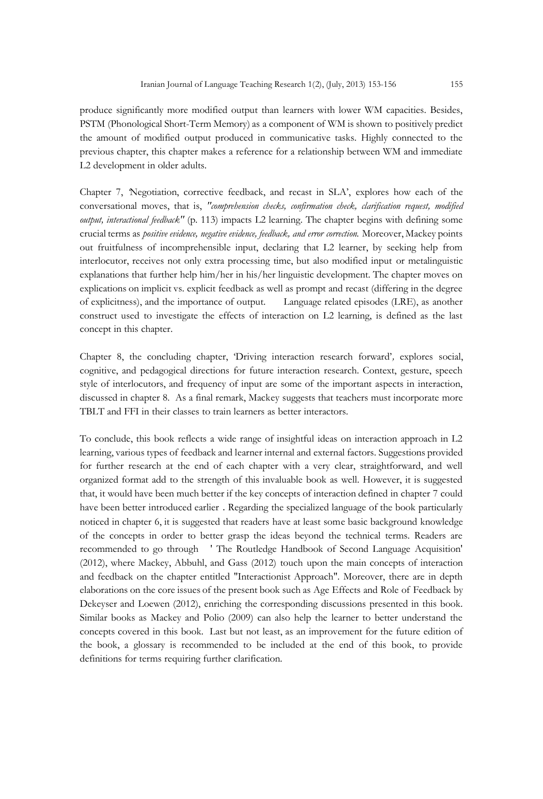produce significantly more modified output than learners with lower WM capacities. Besides, PSTM (Phonological Short-Term Memory) as a component of WM is shown to positively predict the amount of modified output produced in communicative tasks. Highly connected to the previous chapter, this chapter makes a reference for a relationship between WM and immediate L2 development in older adults.

Chapter 7, *'*Negotiation, corrective feedback, and recast in SLA', explores how each of the conversational moves, that is, *"comprehension checks, confirmation check, clarification request, modified output, interactional feedback"* (p. 113) impacts L2 learning. The chapter begins with defining some crucial terms as *positive evidence, negative evidence, feedback, and error correction.* Moreover, Mackey points out fruitfulness of incomprehensible input, declaring that L2 learner, by seeking help from interlocutor, receives not only extra processing time, but also modified input or metalinguistic explanations that further help him/her in his/her linguistic development. The chapter moves on explications on implicit vs. explicit feedback as well as prompt and recast (differing in the degree of explicitness), and the importance of output. Language related episodes (LRE), as another construct used to investigate the effects of interaction on L2 learning, is defined as the last concept in this chapter.

Chapter 8, the concluding chapter, 'Driving interaction research forward'*,* explores social, cognitive, and pedagogical directions for future interaction research. Context, gesture, speech style of interlocutors, and frequency of input are some of the important aspects in interaction, discussed in chapter 8. As a final remark, Mackey suggests that teachers must incorporate more TBLT and FFI in their classes to train learners as better interactors.

To conclude, this book reflects a wide range of insightful ideas on interaction approach in L2 learning, various types of feedback and learner internal and external factors. Suggestions provided for further research at the end of each chapter with a very clear, straightforward, and well organized format add to the strength of this invaluable book as well. However, it is suggested that, it would have been much better if the key concepts of interaction defined in chapter 7 could have been better introduced earlier . Regarding the specialized language of the book particularly noticed in chapter 6, it is suggested that readers have at least some basic background knowledge of the concepts in order to better grasp the ideas beyond the technical terms. Readers are recommended to go through ' The Routledge Handbook of Second Language Acquisition' (2012), where Mackey, Abbuhl, and Gass (2012) touch upon the main concepts of interaction and feedback on the chapter entitled "Interactionist Approach". Moreover, there are in depth elaborations on the core issues of the present book such as Age Effects and Role of Feedback by Dekeyser and Loewen (2012), enriching the corresponding discussions presented in this book. Similar books as Mackey and Polio (2009) can also help the learner to better understand the concepts covered in this book. Last but not least, as an improvement for the future edition of the book, a glossary is recommended to be included at the end of this book, to provide definitions for terms requiring further clarification.